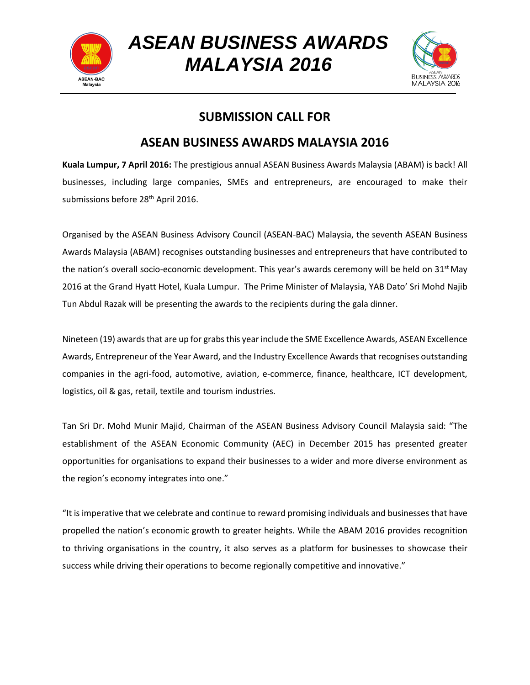

*ASEAN BUSINESS AWARDS MALAYSIA 2016*



## **SUBMISSION CALL FOR**

## **ASEAN BUSINESS AWARDS MALAYSIA 2016**

**Kuala Lumpur, 7 April 2016:** The prestigious annual ASEAN Business Awards Malaysia (ABAM) is back! All businesses, including large companies, SMEs and entrepreneurs, are encouraged to make their submissions before 28<sup>th</sup> April 2016.

Organised by the ASEAN Business Advisory Council (ASEAN-BAC) Malaysia, the seventh ASEAN Business Awards Malaysia (ABAM) recognises outstanding businesses and entrepreneurs that have contributed to the nation's overall socio-economic development. This year's awards ceremony will be held on  $31<sup>st</sup>$  May 2016 at the Grand Hyatt Hotel, Kuala Lumpur. The Prime Minister of Malaysia, YAB Dato' Sri Mohd Najib Tun Abdul Razak will be presenting the awards to the recipients during the gala dinner.

Nineteen (19) awards that are up for grabs this year include the SME Excellence Awards, ASEAN Excellence Awards, Entrepreneur of the Year Award, and the Industry Excellence Awards that recognises outstanding companies in the agri-food, automotive, aviation, e-commerce, finance, healthcare, ICT development, logistics, oil & gas, retail, textile and tourism industries.

Tan Sri Dr. Mohd Munir Majid, Chairman of the ASEAN Business Advisory Council Malaysia said: "The establishment of the ASEAN Economic Community (AEC) in December 2015 has presented greater opportunities for organisations to expand their businesses to a wider and more diverse environment as the region's economy integrates into one."

"It is imperative that we celebrate and continue to reward promising individuals and businesses that have propelled the nation's economic growth to greater heights. While the ABAM 2016 provides recognition to thriving organisations in the country, it also serves as a platform for businesses to showcase their success while driving their operations to become regionally competitive and innovative."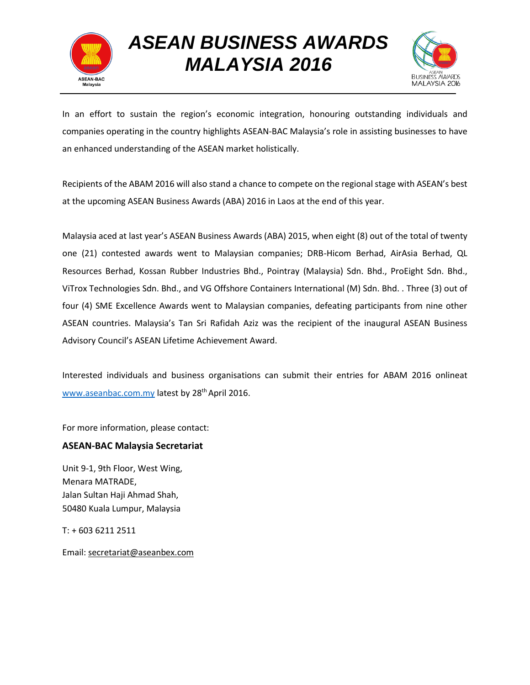

## *ASEAN BUSINESS AWARDS MALAYSIA 2016*



In an effort to sustain the region's economic integration, honouring outstanding individuals and companies operating in the country highlights ASEAN-BAC Malaysia's role in assisting businesses to have an enhanced understanding of the ASEAN market holistically.

Recipients of the ABAM 2016 will also stand a chance to compete on the regional stage with ASEAN's best at the upcoming ASEAN Business Awards (ABA) 2016 in Laos at the end of this year.

Malaysia aced at last year's ASEAN Business Awards (ABA) 2015, when eight (8) out of the total of twenty one (21) contested awards went to Malaysian companies; DRB-Hicom Berhad, AirAsia Berhad, QL Resources Berhad, Kossan Rubber Industries Bhd., Pointray (Malaysia) Sdn. Bhd., ProEight Sdn. Bhd., ViTrox Technologies Sdn. Bhd., and VG Offshore Containers International (M) Sdn. Bhd. . Three (3) out of four (4) SME Excellence Awards went to Malaysian companies, defeating participants from nine other ASEAN countries. Malaysia's Tan Sri Rafidah Aziz was the recipient of the inaugural ASEAN Business Advisory Council's ASEAN Lifetime Achievement Award.

Interested individuals and business organisations can submit their entries for ABAM 2016 onlineat [www.aseanbac.com.my](http://www.aseanbac.com.my/) latest by 28<sup>th</sup> April 2016.

For more information, please contact:

#### **ASEAN-BAC Malaysia Secretariat**

Unit 9-1, 9th Floor, West Wing, Menara MATRADE, Jalan Sultan Haji Ahmad Shah, 50480 Kuala Lumpur, Malaysia

T: + 603 6211 2511

Email: [secretariat@aseanbex.com](mailto:secretariat@aseanbex.com)